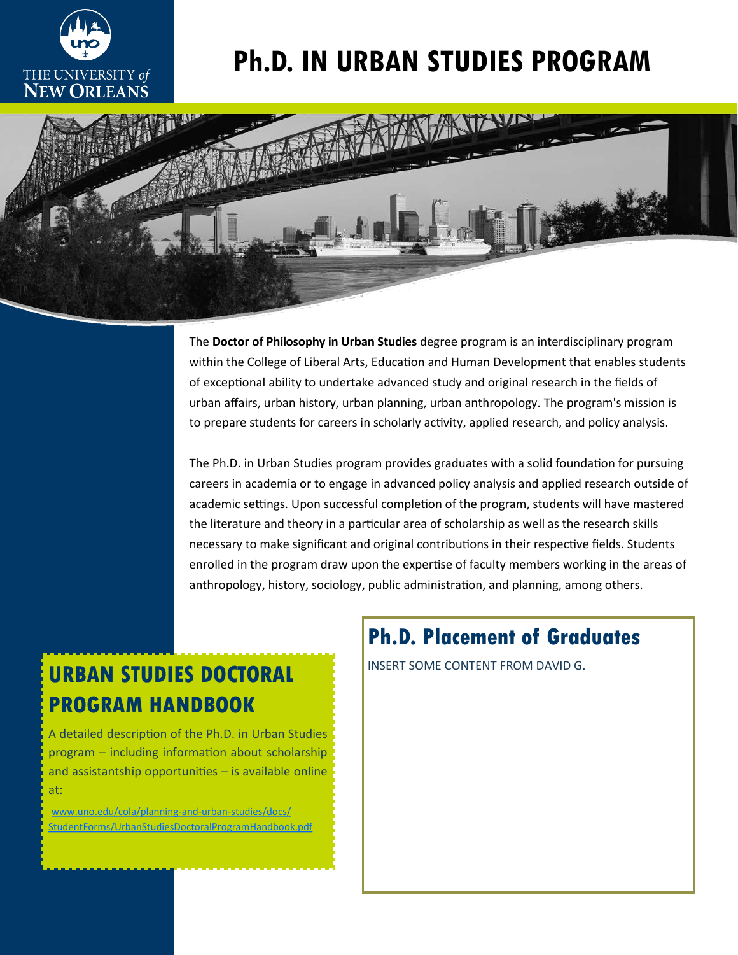

# **Ph.D. IN URBAN STUDIES PROGRAM**



The **Doctor of Philosophy in Urban Studies** degree program is an interdisciplinary program within the College of Liberal Arts, Education and Human Development that enables students of exceptional ability to undertake advanced study and original research in the fields of urban affairs, urban history, urban planning, urban anthropology. The program's mission is to prepare students for careers in scholarly activity, applied research, and policy analysis.

The Ph.D. in Urban Studies program provides graduates with a solid foundation for pursuing careers in academia or to engage in advanced policy analysis and applied research outside of academic settings. Upon successful completion of the program, students will have mastered the literature and theory in a particular area of scholarship as well as the research skills necessary to make significant and original contributions in their respective fields. Students enrolled in the program draw upon the expertise of faculty members working in the areas of anthropology, history, sociology, public administration, and planning, among others.

## **URBAN STUDIES DOCTORAL INSERT SOME CONTENT FROM DAVID G. PROGRAM HANDBOOK**

A detailed description of the Ph.D. in Urban Studies program – including information about scholarship and assistantship opportunities – is available online at:

[www.uno.edu/cola/planning](http://www.uno.edu/cola/planning-and-urban-studies/docs/StudentForms/UrbanStudiesDoctoralProgramHandbook.pdf)-and-urban-studies/docs/ [StudentForms/UrbanStudiesDoctoralProgramHandbook.pdf](http://www.uno.edu/cola/planning-and-urban-studies/docs/StudentForms/UrbanStudiesDoctoralProgramHandbook.pdf)

## **Ph.D. Placement of Graduates**